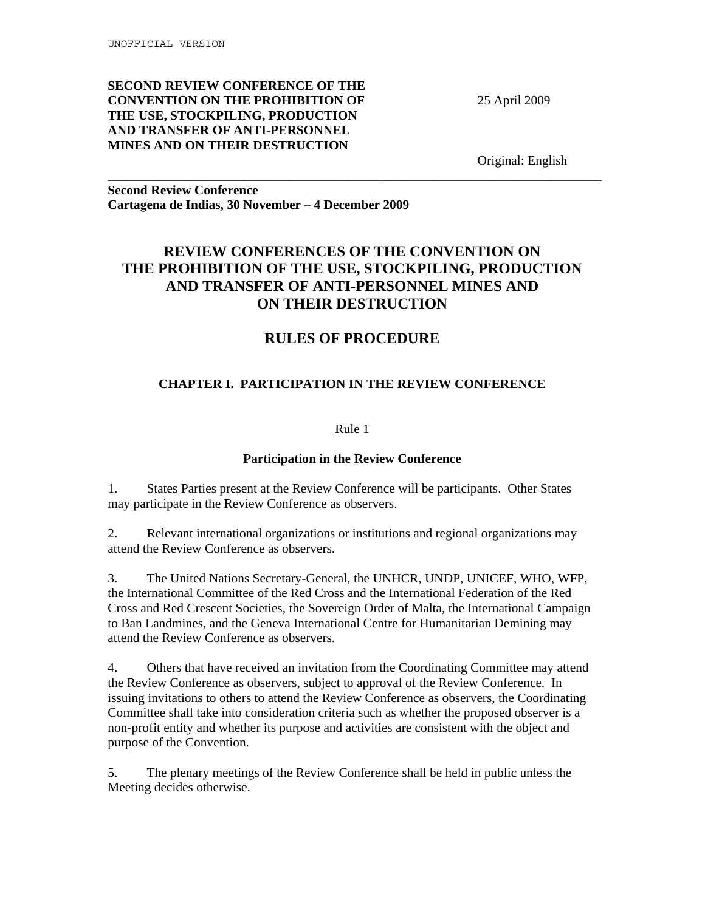## **SECOND REVIEW CONFERENCE OF THE CONVENTION ON THE PROHIBITION OF THE USE, STOCKPILING, PRODUCTION AND TRANSFER OF ANTI-PERSONNEL MINES AND ON THEIR DESTRUCTION**

25 April 2009

Original: English

**Second Review Conference Cartagena de Indias, 30 November – 4 December 2009** 

# **REVIEW CONFERENCES OF THE CONVENTION ON THE PROHIBITION OF THE USE, STOCKPILING, PRODUCTION AND TRANSFER OF ANTI-PERSONNEL MINES AND ON THEIR DESTRUCTION**

\_\_\_\_\_\_\_\_\_\_\_\_\_\_\_\_\_\_\_\_\_\_\_\_\_\_\_\_\_\_\_\_\_\_\_\_\_\_\_\_\_\_\_\_\_\_\_\_\_\_\_\_\_\_\_\_\_\_\_\_\_\_\_\_\_\_\_\_\_\_\_\_\_\_\_\_

# **RULES OF PROCEDURE**

## **CHAPTER I. PARTICIPATION IN THE REVIEW CONFERENCE**

## Rule 1

## **Participation in the Review Conference**

1. States Parties present at the Review Conference will be participants. Other States may participate in the Review Conference as observers.

2. Relevant international organizations or institutions and regional organizations may attend the Review Conference as observers.

3. The United Nations Secretary-General, the UNHCR, UNDP, UNICEF, WHO, WFP, the International Committee of the Red Cross and the International Federation of the Red Cross and Red Crescent Societies, the Sovereign Order of Malta, the International Campaign to Ban Landmines, and the Geneva International Centre for Humanitarian Demining may attend the Review Conference as observers.

4. Others that have received an invitation from the Coordinating Committee may attend the Review Conference as observers, subject to approval of the Review Conference. In issuing invitations to others to attend the Review Conference as observers, the Coordinating Committee shall take into consideration criteria such as whether the proposed observer is a non-profit entity and whether its purpose and activities are consistent with the object and purpose of the Convention.

5. The plenary meetings of the Review Conference shall be held in public unless the Meeting decides otherwise.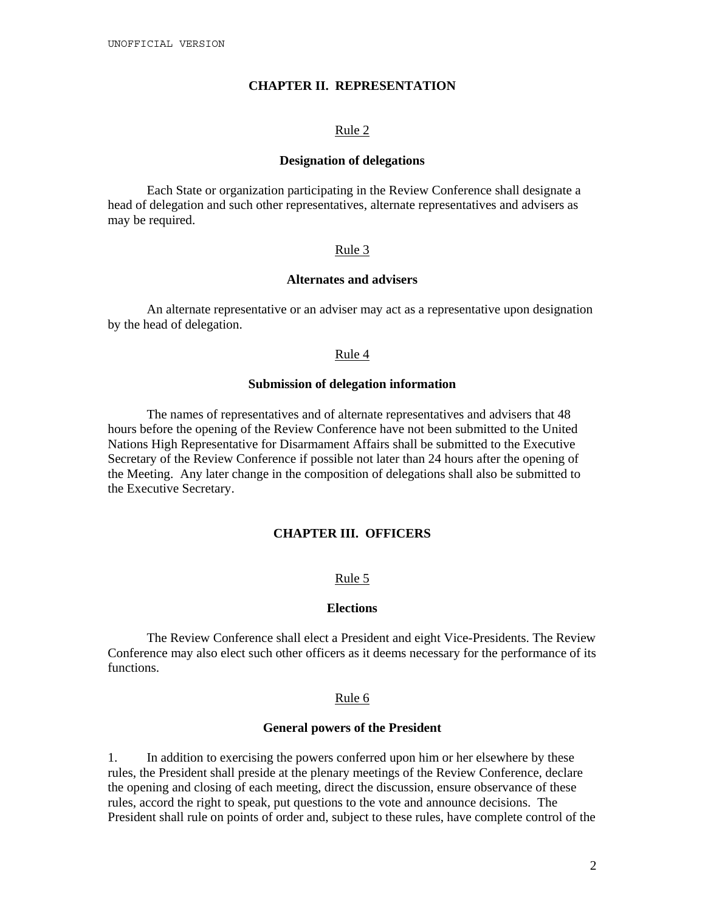### **CHAPTER II. REPRESENTATION**

#### Rule 2

#### **Designation of delegations**

Each State or organization participating in the Review Conference shall designate a head of delegation and such other representatives, alternate representatives and advisers as may be required.

#### Rule 3

#### **Alternates and advisers**

An alternate representative or an adviser may act as a representative upon designation by the head of delegation.

#### Rule 4

#### **Submission of delegation information**

The names of representatives and of alternate representatives and advisers that 48 hours before the opening of the Review Conference have not been submitted to the United Nations High Representative for Disarmament Affairs shall be submitted to the Executive Secretary of the Review Conference if possible not later than 24 hours after the opening of the Meeting. Any later change in the composition of delegations shall also be submitted to the Executive Secretary.

### **CHAPTER III. OFFICERS**

#### Rule 5

#### **Elections**

The Review Conference shall elect a President and eight Vice-Presidents. The Review Conference may also elect such other officers as it deems necessary for the performance of its functions.

#### Rule 6

#### **General powers of the President**

1. In addition to exercising the powers conferred upon him or her elsewhere by these rules, the President shall preside at the plenary meetings of the Review Conference, declare the opening and closing of each meeting, direct the discussion, ensure observance of these rules, accord the right to speak, put questions to the vote and announce decisions. The President shall rule on points of order and, subject to these rules, have complete control of the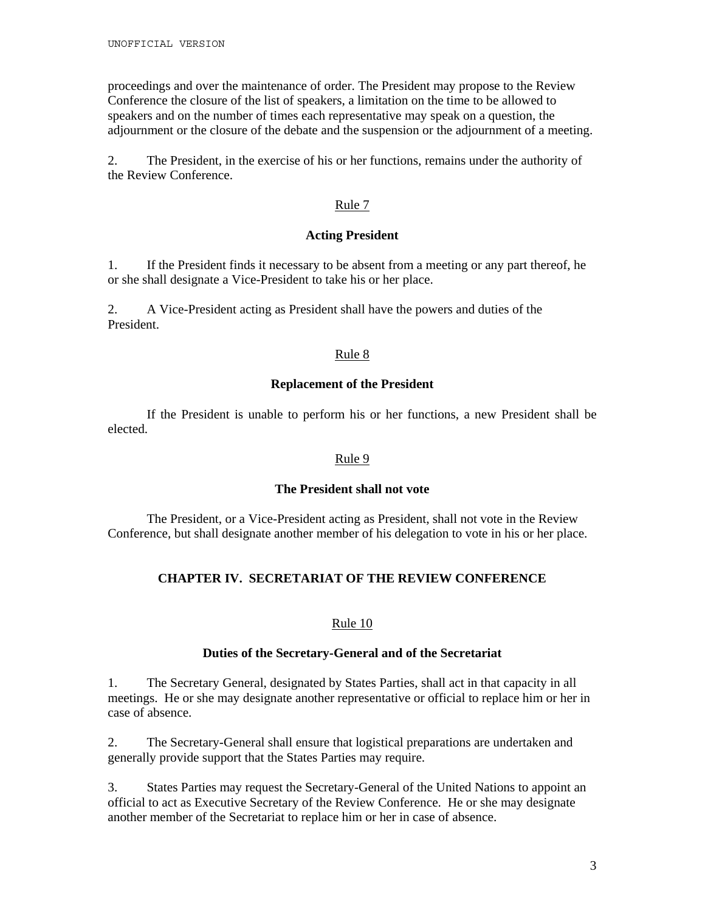proceedings and over the maintenance of order. The President may propose to the Review Conference the closure of the list of speakers, a limitation on the time to be allowed to speakers and on the number of times each representative may speak on a question, the adjournment or the closure of the debate and the suspension or the adjournment of a meeting.

2. The President, in the exercise of his or her functions, remains under the authority of the Review Conference.

### Rule 7

### **Acting President**

1. If the President finds it necessary to be absent from a meeting or any part thereof, he or she shall designate a Vice-President to take his or her place.

2. A Vice-President acting as President shall have the powers and duties of the President.

### Rule 8

### **Replacement of the President**

If the President is unable to perform his or her functions, a new President shall be elected.

### Rule 9

### **The President shall not vote**

The President, or a Vice-President acting as President, shall not vote in the Review Conference, but shall designate another member of his delegation to vote in his or her place.

## **CHAPTER IV. SECRETARIAT OF THE REVIEW CONFERENCE**

### Rule 10

#### **Duties of the Secretary-General and of the Secretariat**

1. The Secretary General, designated by States Parties, shall act in that capacity in all meetings. He or she may designate another representative or official to replace him or her in case of absence.

2. The Secretary-General shall ensure that logistical preparations are undertaken and generally provide support that the States Parties may require.

3. States Parties may request the Secretary-General of the United Nations to appoint an official to act as Executive Secretary of the Review Conference. He or she may designate another member of the Secretariat to replace him or her in case of absence.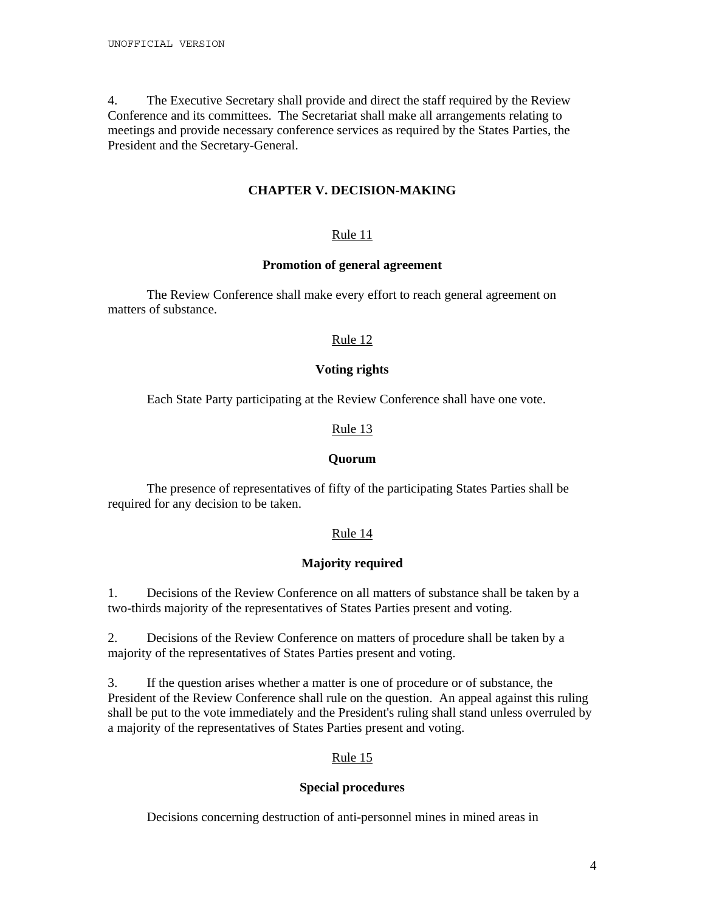4. The Executive Secretary shall provide and direct the staff required by the Review Conference and its committees. The Secretariat shall make all arrangements relating to meetings and provide necessary conference services as required by the States Parties, the President and the Secretary-General.

## **CHAPTER V. DECISION-MAKING**

## Rule 11

### **Promotion of general agreement**

The Review Conference shall make every effort to reach general agreement on matters of substance.

### Rule 12

### **Voting rights**

Each State Party participating at the Review Conference shall have one vote.

### Rule 13

#### **Quorum**

 The presence of representatives of fifty of the participating States Parties shall be required for any decision to be taken.

### Rule 14

### **Majority required**

1. Decisions of the Review Conference on all matters of substance shall be taken by a two-thirds majority of the representatives of States Parties present and voting.

2. Decisions of the Review Conference on matters of procedure shall be taken by a majority of the representatives of States Parties present and voting.

3. If the question arises whether a matter is one of procedure or of substance, the President of the Review Conference shall rule on the question. An appeal against this ruling shall be put to the vote immediately and the President's ruling shall stand unless overruled by a majority of the representatives of States Parties present and voting.

## Rule 15

### **Special procedures**

Decisions concerning destruction of anti-personnel mines in mined areas in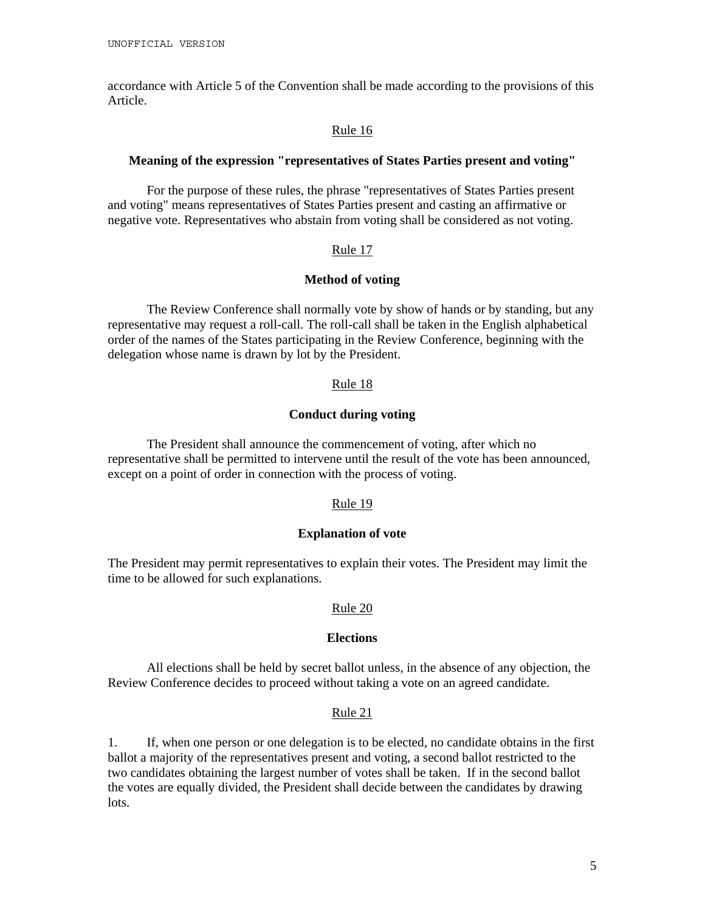accordance with Article 5 of the Convention shall be made according to the provisions of this Article.

#### Rule 16

#### **Meaning of the expression "representatives of States Parties present and voting"**

For the purpose of these rules, the phrase "representatives of States Parties present and voting" means representatives of States Parties present and casting an affirmative or negative vote. Representatives who abstain from voting shall be considered as not voting.

#### Rule 17

#### **Method of voting**

The Review Conference shall normally vote by show of hands or by standing, but any representative may request a roll-call. The roll-call shall be taken in the English alphabetical order of the names of the States participating in the Review Conference, beginning with the delegation whose name is drawn by lot by the President.

#### Rule 18

### **Conduct during voting**

The President shall announce the commencement of voting, after which no representative shall be permitted to intervene until the result of the vote has been announced, except on a point of order in connection with the process of voting.

#### Rule 19

#### **Explanation of vote**

The President may permit representatives to explain their votes. The President may limit the time to be allowed for such explanations.

### Rule 20

### **Elections**

All elections shall be held by secret ballot unless, in the absence of any objection, the Review Conference decides to proceed without taking a vote on an agreed candidate.

#### Rule 21

1. If, when one person or one delegation is to be elected, no candidate obtains in the first ballot a majority of the representatives present and voting, a second ballot restricted to the two candidates obtaining the largest number of votes shall be taken. If in the second ballot the votes are equally divided, the President shall decide between the candidates by drawing lots.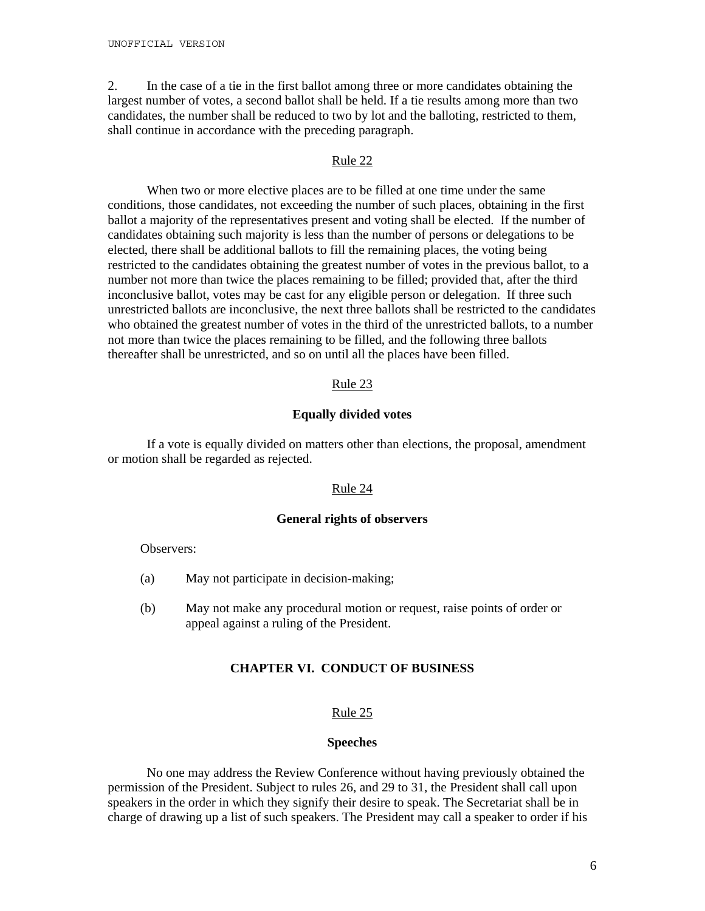2. In the case of a tie in the first ballot among three or more candidates obtaining the largest number of votes, a second ballot shall be held. If a tie results among more than two candidates, the number shall be reduced to two by lot and the balloting, restricted to them, shall continue in accordance with the preceding paragraph.

#### Rule 22

When two or more elective places are to be filled at one time under the same conditions, those candidates, not exceeding the number of such places, obtaining in the first ballot a majority of the representatives present and voting shall be elected. If the number of candidates obtaining such majority is less than the number of persons or delegations to be elected, there shall be additional ballots to fill the remaining places, the voting being restricted to the candidates obtaining the greatest number of votes in the previous ballot, to a number not more than twice the places remaining to be filled; provided that, after the third inconclusive ballot, votes may be cast for any eligible person or delegation. If three such unrestricted ballots are inconclusive, the next three ballots shall be restricted to the candidates who obtained the greatest number of votes in the third of the unrestricted ballots, to a number not more than twice the places remaining to be filled, and the following three ballots thereafter shall be unrestricted, and so on until all the places have been filled.

### Rule 23

### **Equally divided votes**

If a vote is equally divided on matters other than elections, the proposal, amendment or motion shall be regarded as rejected.

#### Rule 24

### **General rights of observers**

Observers:

- (a) May not participate in decision-making;
- (b) May not make any procedural motion or request, raise points of order or appeal against a ruling of the President.

### **CHAPTER VI. CONDUCT OF BUSINESS**

#### Rule 25

### **Speeches**

 No one may address the Review Conference without having previously obtained the permission of the President. Subject to rules 26, and 29 to 31, the President shall call upon speakers in the order in which they signify their desire to speak. The Secretariat shall be in charge of drawing up a list of such speakers. The President may call a speaker to order if his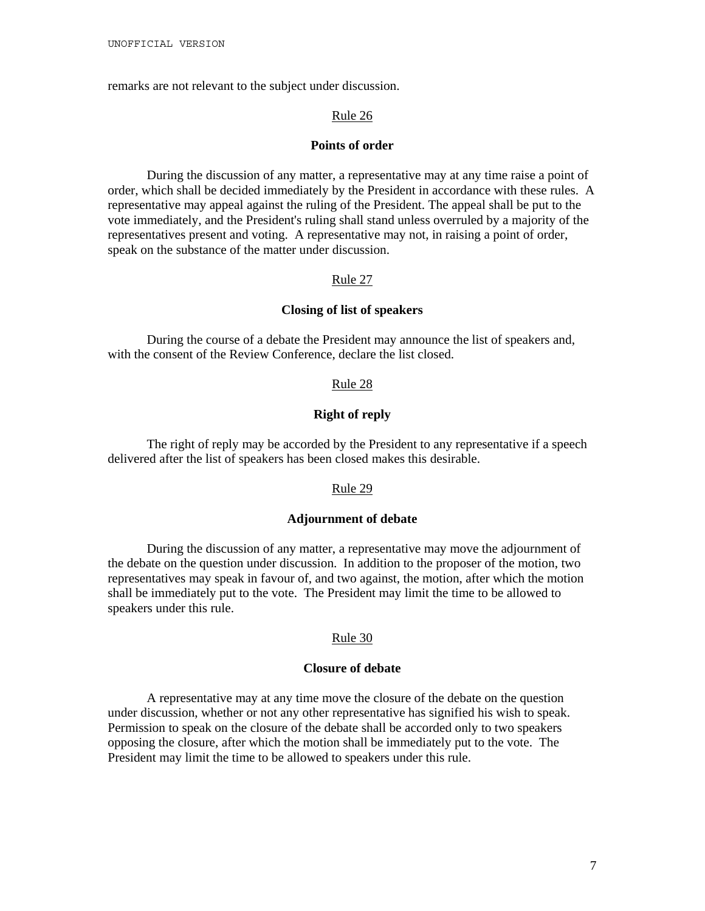remarks are not relevant to the subject under discussion.

#### Rule 26

#### **Points of order**

During the discussion of any matter, a representative may at any time raise a point of order, which shall be decided immediately by the President in accordance with these rules. A representative may appeal against the ruling of the President. The appeal shall be put to the vote immediately, and the President's ruling shall stand unless overruled by a majority of the representatives present and voting. A representative may not, in raising a point of order, speak on the substance of the matter under discussion.

#### Rule 27

### **Closing of list of speakers**

During the course of a debate the President may announce the list of speakers and, with the consent of the Review Conference, declare the list closed.

#### Rule 28

### **Right of reply**

The right of reply may be accorded by the President to any representative if a speech delivered after the list of speakers has been closed makes this desirable.

#### Rule 29

### **Adjournment of debate**

During the discussion of any matter, a representative may move the adjournment of the debate on the question under discussion. In addition to the proposer of the motion, two representatives may speak in favour of, and two against, the motion, after which the motion shall be immediately put to the vote. The President may limit the time to be allowed to speakers under this rule.

#### Rule 30

### **Closure of debate**

A representative may at any time move the closure of the debate on the question under discussion, whether or not any other representative has signified his wish to speak. Permission to speak on the closure of the debate shall be accorded only to two speakers opposing the closure, after which the motion shall be immediately put to the vote. The President may limit the time to be allowed to speakers under this rule.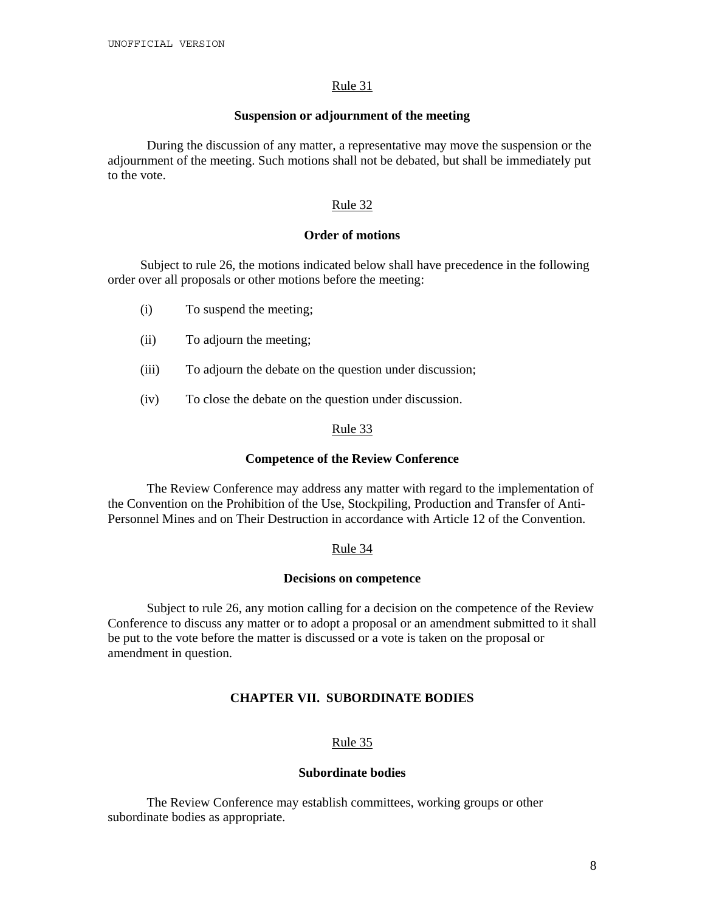#### Rule 31

#### **Suspension or adjournment of the meeting**

During the discussion of any matter, a representative may move the suspension or the adjournment of the meeting. Such motions shall not be debated, but shall be immediately put to the vote.

### Rule 32

### **Order of motions**

Subject to rule 26, the motions indicated below shall have precedence in the following order over all proposals or other motions before the meeting:

- (i) To suspend the meeting;
- (ii) To adjourn the meeting;
- (iii) To adjourn the debate on the question under discussion;
- (iv) To close the debate on the question under discussion.

### Rule 33

#### **Competence of the Review Conference**

 The Review Conference may address any matter with regard to the implementation of the Convention on the Prohibition of the Use, Stockpiling, Production and Transfer of Anti-Personnel Mines and on Their Destruction in accordance with Article 12 of the Convention.

#### Rule 34

#### **Decisions on competence**

Subject to rule 26, any motion calling for a decision on the competence of the Review Conference to discuss any matter or to adopt a proposal or an amendment submitted to it shall be put to the vote before the matter is discussed or a vote is taken on the proposal or amendment in question.

## **CHAPTER VII. SUBORDINATE BODIES**

### Rule 35

#### **Subordinate bodies**

The Review Conference may establish committees, working groups or other subordinate bodies as appropriate.